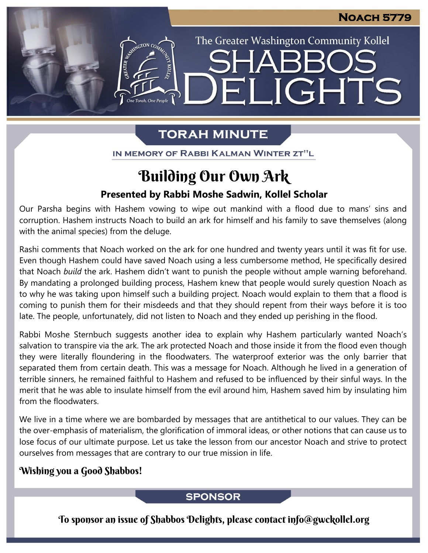The Greater Washington Community Kollel

ELIGHTS

# **TORAH MINUTE**

IN MEMORY OF RABBI KALMAN WINTER ZT"L

# Building Our Own Ark

### **Presented by Rabbi Moshe Sadwin, Kollel Scholar**

Our Parsha begins with Hashem vowing to wipe out mankind with a flood due to mans' sins and corruption. Hashem instructs Noach to build an ark for himself and his family to save themselves (along with the animal species) from the deluge.

Rashi comments that Noach worked on the ark for one hundred and twenty years until it was fit for use. Even though Hashem could have saved Noach using a less cumbersome method, He specifically desired that Noach *build* the ark. Hashem didn't want to punish the people without ample warning beforehand. By mandating a prolonged building process, Hashem knew that people would surely question Noach as to why he was taking upon himself such a building project. Noach would explain to them that a flood is coming to punish them for their misdeeds and that they should repent from their ways before it is too late. The people, unfortunately, did not listen to Noach and they ended up perishing in the flood.

Rabbi Moshe Sternbuch suggests another idea to explain why Hashem particularly wanted Noach's salvation to transpire via the ark. The ark protected Noach and those inside it from the flood even though they were literally floundering in the floodwaters. The waterproof exterior was the only barrier that separated them from certain death. This was a message for Noach. Although he lived in a generation of terrible sinners, he remained faithful to Hashem and refused to be influenced by their sinful ways. In the merit that he was able to insulate himself from the evil around him, Hashem saved him by insulating him from the floodwaters.

We live in a time where we are bombarded by messages that are antithetical to our values. They can be the over-emphasis of materialism, the glorification of immoral ideas, or other notions that can cause us to lose focus of our ultimate purpose. Let us take the lesson from our ancestor Noach and strive to protect ourselves from messages that are contrary to our true mission in life.

### Wishing you a Good Shabbos!

#### **SPONSOR**

To sponsor an issue of Shabbos Delights, please contact info@gwckollel.org